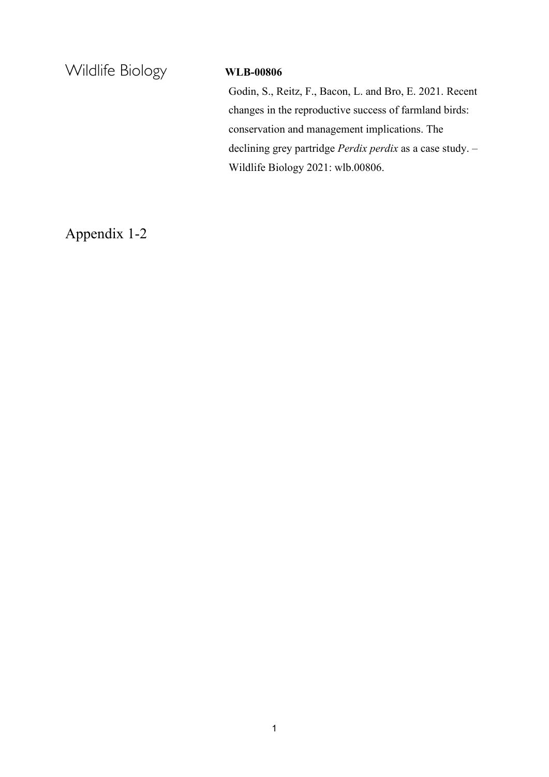Wildlife Biology **WLB-00806** 

Godin, S., Reitz, F., Bacon, L. and Bro, E. 2021. Recent changes in the reproductive success of farmland birds: conservation and management implications. The declining grey partridge *Perdix perdix* as a case study. – Wildlife Biology 2021: wlb.00806.

Appendix 1-2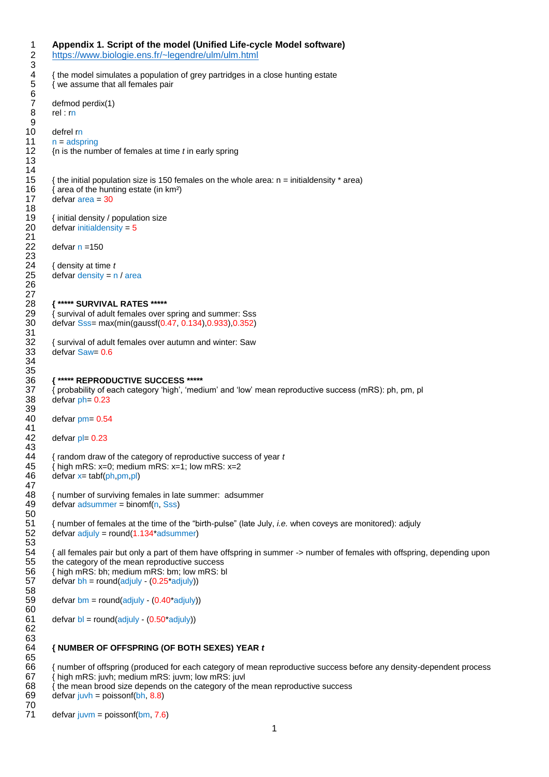|                             | { the model simulates a population of grey partridges in a close hunting estate<br>{ we assume that all females pair        |
|-----------------------------|-----------------------------------------------------------------------------------------------------------------------------|
| rel:rn                      | defmod perdix(1)                                                                                                            |
|                             |                                                                                                                             |
| defrel rn<br>$n = adspring$ |                                                                                                                             |
|                             | { $n$ is the number of females at time $t$ in early spring                                                                  |
|                             |                                                                                                                             |
|                             | { the initial population size is 150 females on the whole area: $n =$ initial density $*$ area)                             |
|                             | { area of the hunting estate (in km <sup>2</sup> )                                                                          |
|                             | $defvar area = 30$                                                                                                          |
|                             | { initial density / population size                                                                                         |
|                             | defvar initial density = $5$                                                                                                |
| defvar $n = 150$            |                                                                                                                             |
|                             | { density at time t                                                                                                         |
|                             | defvar density = $n / area$                                                                                                 |
|                             |                                                                                                                             |
|                             | { ***** SURVIVAL RATES *****                                                                                                |
|                             | survival of adult females over spring and summer: Sss                                                                       |
|                             | defvar Sss= max(min(gaussf(0.47, 0.134), 0.933), 0.352)                                                                     |
|                             | { survival of adult females over autumn and winter: Saw                                                                     |
|                             | defvar Saw= 0.6                                                                                                             |
|                             |                                                                                                                             |
|                             | { ***** REPRODUCTIVE SUCCESS *****                                                                                          |
|                             | { probability of each category 'high', 'medium' and 'low' mean reproductive success (mRS): ph, pm, pl<br>defvar $ph = 0.23$ |
|                             | defvar $pm = 0.54$                                                                                                          |
|                             | defvar $pl = 0.23$                                                                                                          |
|                             | { random draw of the category of reproductive success of year t                                                             |
|                             | { high mRS: $x=0$ ; medium mRS: $x=1$ ; low mRS: $x=2$                                                                      |
|                             | $defvar x = tab(fph,pm,pl)$                                                                                                 |
|                             | { number of surviving females in late summer: adsummer                                                                      |
|                             | $defvar$ adsummer = binomf(n, Sss)                                                                                          |
|                             | { number of females at the time of the "birth-pulse" (late July, <i>i.e.</i> when coveys are monitored): adjuly             |
|                             | $defvar adjuly = round(1.134 * adsummer)$                                                                                   |
|                             | { all females pair but only a part of them have offspring in summer -> number of females with offspring, depending upon     |
|                             | the category of the mean reproductive success                                                                               |
|                             | { high mRS: bh; medium mRS: bm; low mRS: bl<br>$defvar bh = round(adjuly - (0.25*adjuly))$                                  |
|                             |                                                                                                                             |
|                             | $defvar bm = round(adjuly - (0.40^*adjuly)))$                                                                               |
|                             | $defvar b = round(adjuly - (0.50*adjuly))$                                                                                  |
|                             | { NUMBER OF OFFSPRING (OF BOTH SEXES) YEAR t                                                                                |
|                             |                                                                                                                             |
|                             | { number of offspring (produced for each category of mean reproductive success before any density-dependent process         |
|                             | { high mRS: juvh; medium mRS: juvm; low mRS: juvl                                                                           |

defvar juvh = poissonf $(bh, 8.8)$ 

 $defvar juvm = poisson(fbm, 7.6)$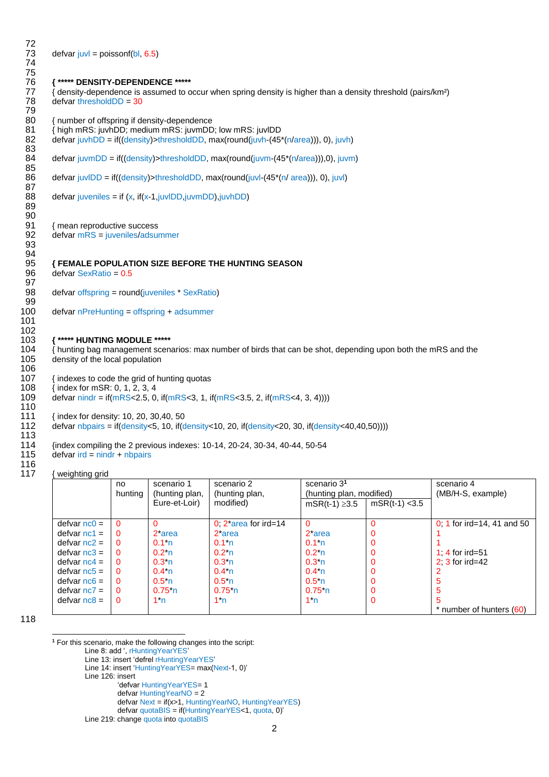72 74 75 79 83<br>84 85<br>86 87<br>88 89 90<br>91 93 94<br>95 97<br>98  $\frac{99}{100}$ 101 102<br>103 106 110 113 116

defvar juvl = poissonf(bl,  $6.5$ )

76 **{ \*\*\*\*\* DENSITY-DEPENDENCE \*\*\*\*\*** 77 { density-dependence is assumed to occur when spring density is higher than a density threshold (pairs/km<sup>2</sup>)<br>78 defvar thresholdDD = 30  $defvar$  threshold $DD = 30$ 

80 { number of offspring if density-dependence<br>81 { high mRS: juvhDD: medium mRS: juvmDD

81 { high mRS: juvhDD; medium mRS: juvmDD; low mRS: juvlDD<br>82 defvar juvhDD = if((density)>thresholdDD, max(round(juvh-(45)

 $\text{defvar}(\text{uvhDD} = \text{if}((\text{density}) > \text{thresholdDD}, \text{max}(\text{round}(i\text{uvh} - (45*(n/\text{area}))), 0), i\text{uvh})$ 

defvar juvmDD = if((density)>thresholdDD, max(round(juvm-(45\*(n/area))),0), juvm)

 $\text{defvar}$  juvlDD = if((density)>thresholdDD, max(round(juvl-(45\*(n/ area))), 0), juvl)

 $\text{defvar}$  juveniles = if (x, if(x-1,juvlDD,juvmDD),juvhDD)

91 { mean reproductive success<br>92 defvar  $mRS =$  juveniles/adsured  $defvar$  mRS = juveniles/adsummer

### 95 **{ FEMALE POPULATION SIZE BEFORE THE HUNTING SEASON**

 $defvar$  SexRatio =  $0.5$ 

defvar offspring = round(juveniles \* SexRatio)

100 defvar nPreHunting = offspring + adsummer

### 103 **{ \*\*\*\*\* HUNTING MODULE \*\*\*\*\***<br>104 { hunting bag management scena

 $\{$  hunting bag management scenarios: max number of birds that can be shot, depending upon both the mRS and the 105 density of the local population

107 {indexes to code the grid of hunting quotas<br>108 {index for mSR: 0, 1, 2, 3, 4

108 { index for mSR: 0, 1, 2, 3, 4<br>109 defvar nindr = if(mRS<2.5, 0

defvar  $nindr = if(mRS < 2.5, 0, if(mRS < 3, 1, if(mRS < 3.5, 2, if(mRS < 4, 3, 4))))$ 

111 { index for density: 10, 20, 30,40, 50

112 defvar nbpairs = if(density<5, 10, if(density<10, 20, if(density<20, 30, if(density<40,40,50))))

114 {index compiling the 2 previous indexes: 10-14, 20-24, 30-34, 40-44, 50-54<br>115 defvar ird = nindr + nbpairs

 $defvar$  ird = nindr + nbpairs

117 { weighting grid

| .<br>.          | no.<br>hunting | scenario 1<br>(hunting plan, | scenario 2<br>(hunting plan, | scenario 3 <sup>1</sup><br>(hunting plan, modified) |                  | scenario 4<br>(MB/H-S, example) |
|-----------------|----------------|------------------------------|------------------------------|-----------------------------------------------------|------------------|---------------------------------|
|                 |                | Eure-et-Loir)                | modified)                    | $mSR(t-1) \ge 3.5$                                  | $mSR(t-1) < 3.5$ |                                 |
| $defvar$ nc0 =  | $\Omega$       |                              | $0: 2^*$ area for ird=14     |                                                     |                  | 0, 1 for ird=14, 41 and 50      |
| $defvar ncl =$  | $\Omega$       | 2 <sup>*</sup> area          | 2 <sup>*</sup> area          | 2 area                                              |                  |                                 |
| $defvar$ nc2 =  | $\Omega$       | 0.1 n                        | 0.1 n                        | 0.1 <sup>h</sup>                                    | 0                |                                 |
| $defvar n c3 =$ | $\Omega$       | $0.21$ n                     | 0.2 <sup>th</sup>            | $0.2th$ n                                           |                  | 1.4 for ird=51                  |
| defvar $nc4 =$  | $\Omega$       | 0.3 <sup>h</sup>             | 0.3 <sup>h</sup>             | 0.3 <sup>h</sup>                                    |                  | $2 \cdot 3$ for ird=42          |
| defvar $nc5 =$  | $\Omega$       | 0.4 <sup>h</sup>             | 0.4 n                        | $0.4th$ n                                           |                  |                                 |
| $defvar nc6 =$  | $\Omega$       | 0.5 <sub>n</sub>             | 0.5 <sup>h</sup>             | 0.5 <sub>n</sub>                                    | 0                |                                 |
| defvar $nc7 =$  | $\Omega$       | 0.75 <sup>h</sup>            | $0.75^{*}$ n                 | $0.75th$ n                                          |                  |                                 |
| $defvar nCB =$  | $\Omega$       | $1*$ n                       | $1*$ n                       | $1*n$                                               | $\Omega$         |                                 |
|                 |                |                              |                              |                                                     |                  | * number of hunters (60)        |

118

1

**<sup>1</sup>** For this scenario, make the following changes into the script:

Line 8: add ', rHuntingYearYES'

Line 13: insert 'defrel rHuntingYearYES'

Line 14: insert 'HuntingYearYES= max(Next-1, 0)'

Line 126: insert

'defvar HuntingYearYES= 1 defvar HuntingYearNO = 2

defvar Next = if(x>1, HuntingYearNO, HuntingYearYES) defvar quotaBIS = if(HuntingYearYES<1, quota, 0)'

Line 219: change quota into quotaBIS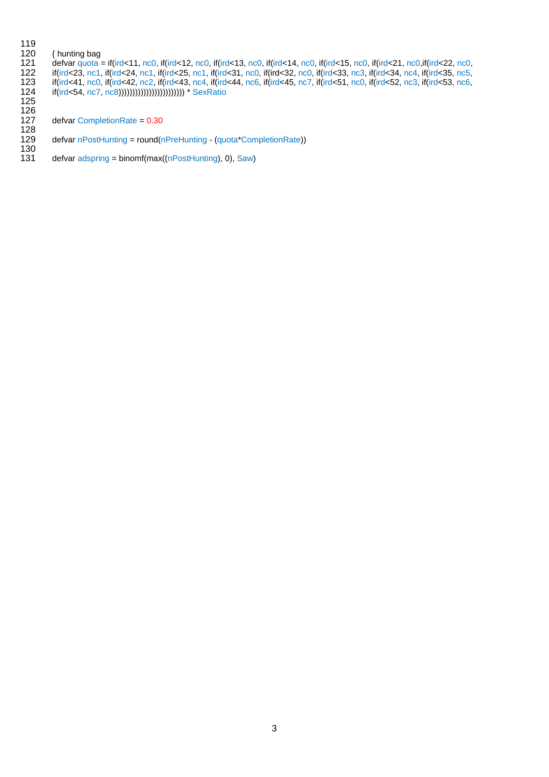## 

- 
- 120 { hunting bag<br>121 defvar quota =<br>122 if(ird<23, nc1,<br>123 if(ird<41, nc0, defvar quota = if(ird<11, nc0, if(ird<12, nc0, if(ird<13, nc0, if(ird<14, nc0, if(ird<15, nc0, if(ird<21, nc0,if(ird<22, nc0, if(ird<23, nc1, if(ird<24, nc1, if(ird<25, nc1, if(ird<31, nc0, if(ird<32, nc0, if(ird<33, nc3, if(ird<34, nc4, if(ird<35, nc5, if(ird<41, nc0, if(ird<42, nc2, if(ird<43, nc4, if(ird<44, nc6, if(ird<45, nc7, if(ird<51, nc0, if(ird<52, nc3, if(ird<53, nc6, if(ird<54, nc7, nc8)))))))))))))))))))))))) \* SexRatio
- <br> $127$  $defvar CompletionRate =  $0.30$$
- $\frac{128}{129}$ defvar nPostHunting = round(nPreHunting - (quota\*CompletionRate))
- <br> $131$ defvar adspring = binomf(max((nPostHunting), 0), Saw)